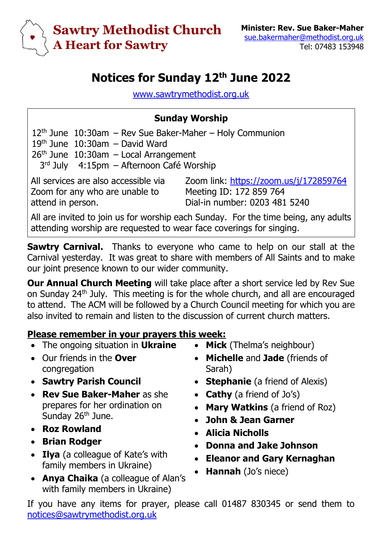

## **Notices for Sunday 12th June 2022**

[www.sawtrymethodist.org.uk](http://www.sawtrymethodist.org.uk/)

## **Sunday Worship**

 $12<sup>th</sup>$  June  $10:30$ am – Rev Sue Baker-Maher – Holy Communion 19th June 10:30am – David Ward  $26<sup>th</sup>$  June  $10:30$ am – Local Arrangement 3<sup>rd</sup> July 4:15pm – Afternoon Café Worship

All services are also accessible via Zoom for any who are unable to attend in person.

Zoom link:<https://zoom.us/j/172859764> Meeting ID: 172 859 764 Dial-in number: 0203 481 5240

All are invited to join us for worship each Sunday. For the time being, any adults attending worship are requested to wear face coverings for singing.

**Sawtry Carnival.** Thanks to everyone who came to help on our stall at the Carnival yesterday. It was great to share with members of All Saints and to make our joint presence known to our wider community.

**Our Annual Church Meeting** will take place after a short service led by Rev Sue on Sunday 24th July. This meeting is for the whole church, and all are encouraged to attend. The ACM will be followed by a Church Council meeting for which you are also invited to remain and listen to the discussion of current church matters.

## **Please remember in your prayers this week:**

- The ongoing situation in **Ukraine**
- Our friends in the **Over** congregation
- **Sawtry Parish Council**
- **Rev Sue Baker-Maher** as she prepares for her ordination on Sunday 26<sup>th</sup> June.
- **Roz Rowland**
- **Brian Rodger**
- **Ilya** (a colleague of Kate's with family members in Ukraine)
- **Anya Chaika** (a colleague of Alan's with family members in Ukraine)
- **Mick** (Thelma's neighbour)
- **Michelle** and **Jade** (friends of Sarah)
- **Stephanie** (a friend of Alexis)
- **Cathy** (a friend of Jo's)
- **Mary Watkins** (a friend of Roz)
- **John & Jean Garner**
- **Alicia Nicholls**
- **Donna and Jake Johnson**
- **Eleanor and Gary Kernaghan**
- **Hannah** (Jo's niece)

If you have any items for prayer, please call 01487 830345 or send them to [notices@sawtrymethodist.org.uk](mailto:notices@sawtrymethodist.org.uk)